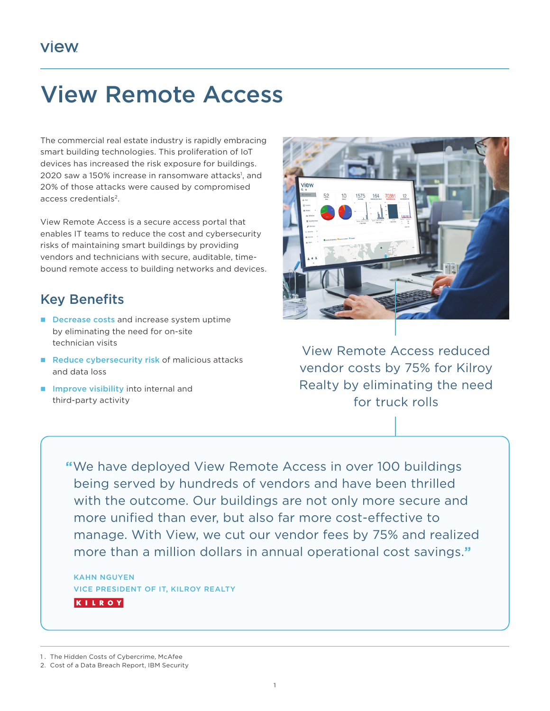# View Remote Access

The commercial real estate industry is rapidly embracing smart building technologies. This proliferation of IoT devices has increased the risk exposure for buildings. 2020 saw a 150% increase in ransomware attacks<sup>1</sup>, and 20% of those attacks were caused by compromised access credentials<sup>2</sup>.

View Remote Access is a secure access portal that enables IT teams to reduce the cost and cybersecurity risks of maintaining smart buildings by providing vendors and technicians with secure, auditable, timebound remote access to building networks and devices.

## Key Benefits

- Decrease costs and increase system uptime by eliminating the need for on-site technician visits
- Reduce cybersecurity risk of malicious attacks and data loss
- **Improve visibility into internal and** third-party activity



View Remote Access reduced vendor costs by 75% for Kilroy Realty by eliminating the need for truck rolls

**"**We have deployed View Remote Access in over 100 buildings being served by hundreds of vendors and have been thrilled with the outcome. Our buildings are not only more secure and more unified than ever, but also far more cost-effective to manage. With View, we cut our vendor fees by 75% and realized more than a million dollars in annual operational cost savings.**"**

KAHN NGUYEN VICE PRESIDENT OF IT, KILROY REALTY KILROY

1. The Hidden Costs of Cybercrime, McAfee

<sup>2.</sup> Cost of a Data Breach Report, IBM Security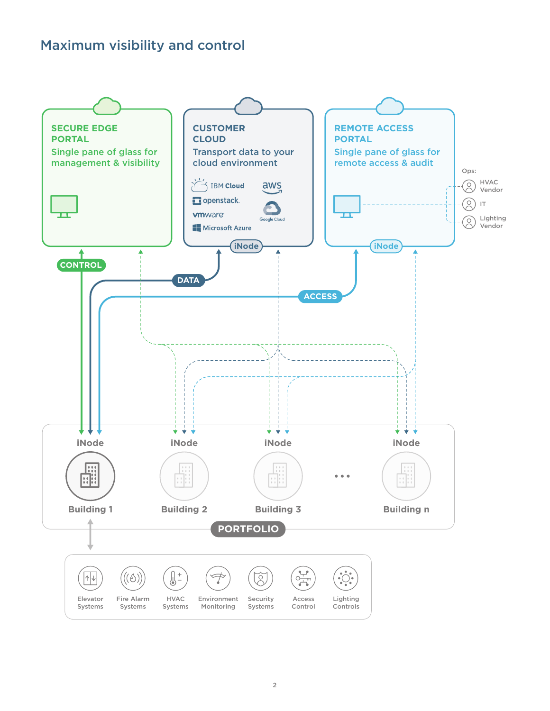## Maximum visibility and control

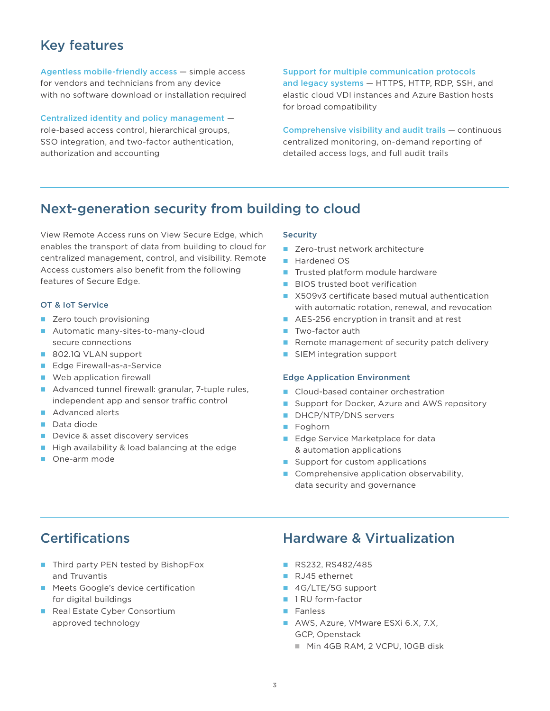# Key features

Agentless mobile-friendly access — simple access for vendors and technicians from any device with no software download or installation required

Centralized identity and policy management role-based access control, hierarchical groups, SSO integration, and two-factor authentication, authorization and accounting

Support for multiple communication protocols and legacy systems — HTTPS, HTTP, RDP, SSH, and elastic cloud VDI instances and Azure Bastion hosts for broad compatibility

Comprehensive visibility and audit trails — continuous centralized monitoring, on-demand reporting of detailed access logs, and full audit trails

### Next-generation security from building to cloud

View Remote Access runs on View Secure Edge, which enables the transport of data from building to cloud for centralized management, control, and visibility. Remote Access customers also benefit from the following features of Secure Edge.

### OT & IoT Service

- Zero touch provisioning
- Automatic many-sites-to-many-cloud secure connections
- 802.1Q VLAN support
- **Edge Firewall-as-a-Service**
- **Web application firewall**
- Advanced tunnel firewall: granular, 7-tuple rules, independent app and sensor traffic control
- Advanced alerts
- Data diode
- Device & asset discovery services
- $\blacksquare$  High availability & load balancing at the edge
- One-arm mode

### **Security**

- Zero-trust network architecture
- Hardened OS
- Trusted platform module hardware
- **BIOS trusted boot verification**
- X509v3 certificate based mutual authentication with automatic rotation, renewal, and revocation
- AES-256 encryption in transit and at rest
- **Two-factor auth**
- Remote management of security patch delivery
- **SIEM** integration support

### Edge Application Environment

- Cloud-based container orchestration
- Support for Docker, Azure and AWS repository
- DHCP/NTP/DNS servers
- **Foghorn**
- Edge Service Marketplace for data & automation applications
- $\blacksquare$  Support for custom applications
- Comprehensive application observability, data security and governance

- Third party PEN tested by BishopFox and Truvantis
- **Meets Google's device certification** for digital buildings
- Real Estate Cyber Consortium approved technology

### Certifications Hardware & Virtualization

- RS232, RS482/485
- RJ45 ethernet
- 4G/LTE/5G support
- 1 RU form-factor
- **Fanless**
- AWS, Azure, VMware ESXi 6.X, 7.X, GCP, Openstack
	- Min 4GB RAM, 2 VCPU, 10GB disk